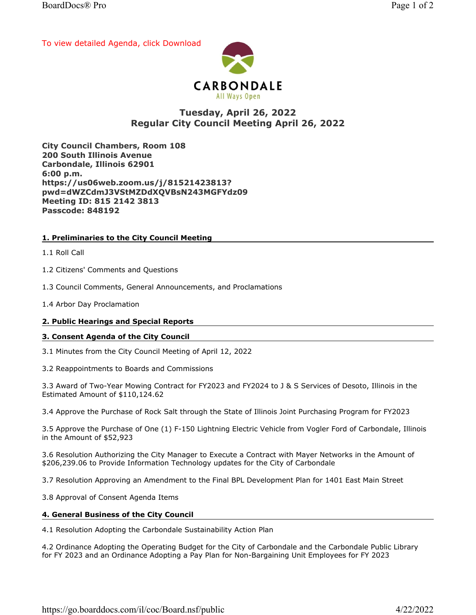[To view detailed Agenda, click Download](https://go.boarddocs.com/il/coc/Board.nsf/public#)



# Tuesday, April 26, 2022 Regular City Council Meeting April 26, 2022

City Council Chambers, Room 108 200 South Illinois Avenue Carbondale, Illinois 62901 6:00 p.m. https://us06web.zoom.us/j/81521423813? pwd=dWZCdmJ3VStMZDdXQVBsN243MGFYdz09 Meeting ID: 815 2142 3813 Passcode: 848192

# 1. Preliminaries to the City Council Meeting

1.1 Roll Call

1.2 Citizens' Comments and Questions

1.3 Council Comments, General Announcements, and Proclamations

1.4 Arbor Day Proclamation

## 2. Public Hearings and Special Reports

## 3. Consent Agenda of the City Council

3.1 Minutes from the City Council Meeting of April 12, 2022

3.2 Reappointments to Boards and Commissions

3.3 Award of Two-Year Mowing Contract for FY2023 and FY2024 to J & S Services of Desoto, Illinois in the Estimated Amount of \$110,124.62

3.4 Approve the Purchase of Rock Salt through the State of Illinois Joint Purchasing Program for FY2023

3.5 Approve the Purchase of One (1) F-150 Lightning Electric Vehicle from Vogler Ford of Carbondale, Illinois in the Amount of \$52,923

3.6 Resolution Authorizing the City Manager to Execute a Contract with Mayer Networks in the Amount of \$206,239.06 to Provide Information Technology updates for the City of Carbondale

3.7 Resolution Approving an Amendment to the Final BPL Development Plan for 1401 East Main Street

3.8 Approval of Consent Agenda Items

## 4. General Business of the City Council

4.1 Resolution Adopting the Carbondale Sustainability Action Plan

4.2 Ordinance Adopting the Operating Budget for the City of Carbondale and the Carbondale Public Library for FY 2023 and an Ordinance Adopting a Pay Plan for Non-Bargaining Unit Employees for FY 2023